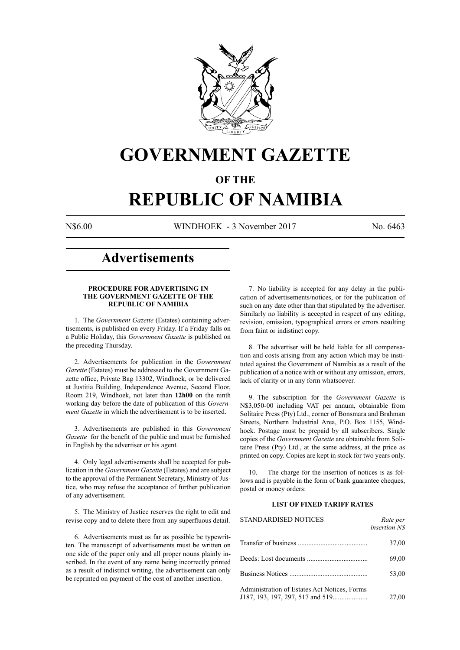

## **GOVERNMENT GAZETTE**

### **OF THE**

# **REPUBLIC OF NAMIBIA**

N\$6.00 WINDHOEK - 3 November 2017 No. 6463

### **Advertisements**

#### **PROCEDURE FOR ADVERTISING IN THE GOVERNMENT GAZETTE OF THE REPUBLIC OF NAMIBIA**

1. The *Government Gazette* (Estates) containing advertisements, is published on every Friday. If a Friday falls on a Public Holiday, this *Government Gazette* is published on the preceding Thursday.

2. Advertisements for publication in the *Government Gazette* (Estates) must be addressed to the Government Gazette office, Private Bag 13302, Windhoek, or be delivered at Justitia Building, Independence Avenue, Second Floor, Room 219, Windhoek, not later than **12h00** on the ninth working day before the date of publication of this *Government Gazette* in which the advertisement is to be inserted.

3. Advertisements are published in this *Government Gazette* for the benefit of the public and must be furnished in English by the advertiser or his agent.

4. Only legal advertisements shall be accepted for publication in the *Government Gazette* (Estates) and are subject to the approval of the Permanent Secretary, Ministry of Justice, who may refuse the acceptance of further publication of any advertisement.

5. The Ministry of Justice reserves the right to edit and revise copy and to delete there from any superfluous detail.

6. Advertisements must as far as possible be typewritten. The manuscript of advertisements must be written on one side of the paper only and all proper nouns plainly inscribed. In the event of any name being incorrectly printed as a result of indistinct writing, the advertisement can only be reprinted on payment of the cost of another insertion.

7. No liability is accepted for any delay in the publication of advertisements/notices, or for the publication of such on any date other than that stipulated by the advertiser. Similarly no liability is accepted in respect of any editing, revision, omission, typographical errors or errors resulting from faint or indistinct copy.

8. The advertiser will be held liable for all compensation and costs arising from any action which may be instituted against the Government of Namibia as a result of the publication of a notice with or without any omission, errors, lack of clarity or in any form whatsoever.

9. The subscription for the *Government Gazette* is N\$3,050-00 including VAT per annum, obtainable from Solitaire Press (Pty) Ltd., corner of Bonsmara and Brahman Streets, Northern Industrial Area, P.O. Box 1155, Windhoek. Postage must be prepaid by all subscribers. Single copies of the *Government Gazette* are obtainable from Solitaire Press (Pty) Ltd., at the same address, at the price as printed on copy. Copies are kept in stock for two years only.

10. The charge for the insertion of notices is as follows and is payable in the form of bank guarantee cheques, postal or money orders:

#### **LIST OF FIXED TARIFF RATES**

| <b>STANDARDISED NOTICES</b>                  | Rate per<br>insertion N\$ |
|----------------------------------------------|---------------------------|
|                                              | 37,00                     |
|                                              | 69,00                     |
|                                              | 53,00                     |
| Administration of Estates Act Notices, Forms | 27,00                     |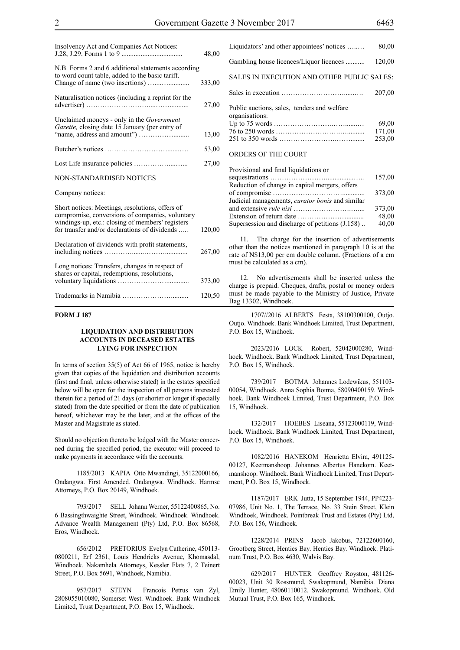| Insolvency Act and Companies Act Notices:                                                                                                                                                               | 48,00  |
|---------------------------------------------------------------------------------------------------------------------------------------------------------------------------------------------------------|--------|
| N.B. Forms 2 and 6 additional statements according<br>to word count table, added to the basic tariff.                                                                                                   | 333,00 |
| Naturalisation notices (including a reprint for the                                                                                                                                                     | 27,00  |
| Unclaimed moneys - only in the <i>Government</i><br>Gazette, closing date 15 January (per entry of                                                                                                      | 13,00  |
|                                                                                                                                                                                                         | 53,00  |
|                                                                                                                                                                                                         | 27,00  |
| NON-STANDARDISED NOTICES                                                                                                                                                                                |        |
| Company notices:                                                                                                                                                                                        |        |
| Short notices: Meetings, resolutions, offers of<br>compromise, conversions of companies, voluntary<br>windings-up, etc.: closing of members' registers<br>for transfer and/or declarations of dividends | 120,00 |
| Declaration of dividends with profit statements,                                                                                                                                                        | 267,00 |
| Long notices: Transfers, changes in respect of<br>shares or capital, redemptions, resolutions,                                                                                                          | 373,00 |
|                                                                                                                                                                                                         | 120,50 |

#### **FORM J 187**

#### **LIQUIDATION AND DISTRIBUTION ACCOUNTS IN DECEASED ESTATES LYING FOR INSPECTION**

In terms of section 35(5) of Act 66 of 1965, notice is hereby given that copies of the liquidation and distribution accounts (first and final, unless otherwise stated) in the estates specified below will be open for the inspection of all persons interested therein for a period of 21 days (or shorter or longer if specially stated) from the date specified or from the date of publication hereof, whichever may be the later, and at the offices of the Master and Magistrate as stated.

Should no objection thereto be lodged with the Master concerned during the specified period, the executor will proceed to make payments in accordance with the accounts.

1185/2013 KAPIA Otto Mwandingi, 35122000166, Ondangwa. First Amended. Ondangwa. Windhoek. Harmse Attorneys, P.O. Box 20149, Windhoek.

793/2017 SELL Johann Werner, 55122400865, No. 6 Bassingthwaighte Street, Windhoek. Windhoek. Windhoek. Advance Wealth Management (Pty) Ltd, P.O. Box 86568, Eros, Windhoek.

656/2012 PRETORIUS Evelyn Catherine, 450113- 0800211, Erf 2361, Louis Hendricks Avenue, Khomasdal, Windhoek. Nakamhela Attorneys, Kessler Flats 7, 2 Teinert Street, P.O. Box 5691, Windhoek, Namibia.

957/2017 STEYN Francois Petrus van Zyl, 2808055010080, Somerset West. Windhoek. Bank Windhoek Limited, Trust Department, P.O. Box 15, Windhoek.

| Liquidators' and other appointees' notices                    | 80,00  |
|---------------------------------------------------------------|--------|
| Gambling house licences/Liquor licences                       | 120,00 |
| SALES IN EXECUTION AND OTHER PUBLIC SALES:                    |        |
|                                                               | 207,00 |
| Public auctions, sales, tenders and welfare<br>organisations: | 69,00  |
|                                                               | 171,00 |
|                                                               | 253.00 |
| ORDERS OF THE COURT                                           |        |

| Provisional and final liquidations or                  |        |
|--------------------------------------------------------|--------|
|                                                        | 157,00 |
| Reduction of change in capital mergers, offers         |        |
|                                                        | 373,00 |
| Judicial managements, <i>curator bonis</i> and similar |        |
|                                                        | 373,00 |
|                                                        | 48,00  |
| Supersession and discharge of petitions (J.158)        | 40,00  |
|                                                        |        |

11. The charge for the insertion of advertisements other than the notices mentioned in paragraph 10 is at the rate of N\$13,00 per cm double column. (Fractions of a cm must be calculated as a cm).

12. No advertisements shall be inserted unless the charge is prepaid. Cheques, drafts, postal or money orders must be made payable to the Ministry of Justice, Private Bag 13302, Windhoek.

1707//2016 ALBERTS Festa, 38100300100, Outjo. Outjo. Windhoek. Bank Windhoek Limited, Trust Department, P.O. Box 15, Windhoek.

2023/2016 LOCK Robert, 52042000280, Windhoek. Windhoek. Bank Windhoek Limited, Trust Department, P.O. Box 15, Windhoek.

739/2017 BOTMA Johannes Lodewikus, 551103- 00054, Windhoek. Anna Sophia Botma, 58090400159. Windhoek. Bank Windhoek Limited, Trust Department, P.O. Box 15, Windhoek.

132/2017 HOEBES Liseana, 55123000119, Windhoek. Windhoek. Bank Windhoek Limited, Trust Department, P.O. Box 15, Windhoek.

1082/2016 HANEKOM Henrietta Elvira, 491125- 00127, Keetmanshoop. Johannes Albertus Hanekom. Keetmanshoop. Windhoek. Bank Windhoek Limited, Trust Department, P.O. Box 15, Windhoek.

1187/2017 ERK Jutta, 15 September 1944, PP4223- 07986, Unit No. 1, The Terrace, No. 33 Stein Street, Klein Windhoek, Windhoek. Pointbreak Trust and Estates (Pty) Ltd, P.O. Box 156, Windhoek.

1228/2014 PRINS Jacob Jakobus, 72122600160, Grootberg Street, Henties Bay. Henties Bay. Windhoek. Platinum Trust, P.O. Box 4630, Walvis Bay.

629/2017 HUNTER Geoffrey Royston, 481126- 00023, Unit 30 Rossmund, Swakopmund, Namibia. Diana Emily Hunter, 48060110012. Swakopmund. Windhoek. Old Mutual Trust, P.O. Box 165, Windhoek.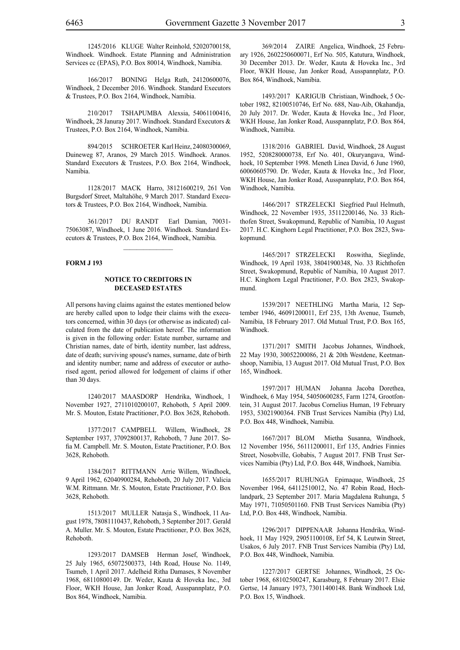1245/2016 KLUGE Walter Reinhold, 52020700158, Windhoek. Windhoek. Estate Planning and Administration Services cc (EPAS), P.O. Box 80014, Windhoek, Namibia.

166/2017 BONING Helga Ruth, 24120600076, Windhoek, 2 December 2016. Windhoek. Standard Executors & Trustees, P.O. Box 2164, Windhoek, Namibia.

210/2017 TSHAPUMBA Alexsia, 54061100416, Windhoek, 28 Januray 2017. Windhoek. Standard Executors & Trustees, P.O. Box 2164, Windhoek, Namibia.

894/2015 SCHROETER Karl Heinz, 24080300069, Duineweg 87, Aranos, 29 March 2015. Windhoek. Aranos. Standard Executors & Trustees, P.O. Box 2164, Windhoek, Namibia.

1128/2017 MACK Harro, 38121600219, 261 Von Burgsdorf Street, Maltahöhe, 9 March 2017. Standard Executors & Trustees, P.O. Box 2164, Windhoek, Namibia.

361/2017 DU RANDT Earl Damian, 70031- 75063087, Windhoek, 1 June 2016. Windhoek. Standard Executors & Trustees, P.O. Box 2164, Windhoek, Namibia.

#### **FORM J 193**

#### **NOTICE TO CREDITORS IN DECEASED ESTATES**

All persons having claims against the estates mentioned below are hereby called upon to lodge their claims with the executors concerned, within 30 days (or otherwise as indicated) calculated from the date of publication hereof. The information is given in the following order: Estate number, surname and Christian names, date of birth, identity number, last address, date of death; surviving spouse's names, surname, date of birth and identity number; name and address of executor or authorised agent, period allowed for lodgement of claims if other than 30 days.

1240/2017 MAASDORP Hendrika, Windhoek, 1 November 1927, 2711010200107, Rehoboth, 5 April 2009. Mr. S. Mouton, Estate Practitioner, P.O. Box 3628, Rehoboth.

1377/2017 CAMPBELL Willem, Windhoek, 28 September 1937, 37092800137, Rehoboth, 7 June 2017. Sofia M. Campbell. Mr. S. Mouton, Estate Practitioner, P.O. Box 3628, Rehoboth.

1384/2017 RITTMANN Arrie Willem, Windhoek, 9 April 1962, 62040900284, Rehoboth, 20 July 2017. Valicia W.M. Rittmann. Mr. S. Mouton, Estate Practitioner, P.O. Box 3628, Rehoboth.

1513/2017 MULLER Natasja S., Windhoek, 11 August 1978, 78081110437, Rehoboth, 3 September 2017. Gerald A. Muller. Mr. S. Mouton, Estate Practitioner, P.O. Box 3628, Rehoboth.

1293/2017 DAMSEB Herman Josef, Windhoek, 25 July 1965, 65072500373, 14th Road, House No. 1149, Tsumeb, 1 April 2017. Adelheid Ritha Damases, 8 November 1968, 68110800149. Dr. Weder, Kauta & Hoveka Inc., 3rd Floor, WKH House, Jan Jonker Road, Ausspannplatz, P.O. Box 864, Windhoek, Namibia.

369/2014 ZAIRE Angelica, Windhoek, 25 February 1926, 2602250600071, Erf No. 505, Katutura, Windhoek, 30 December 2013. Dr. Weder, Kauta & Hoveka Inc., 3rd Floor, WKH House, Jan Jonker Road, Ausspannplatz, P.O. Box 864, Windhoek, Namibia.

1493/2017 KARIGUB Christiaan, Windhoek, 5 October 1982, 82100510746, Erf No. 688, Nau-Aib, Okahandja, 20 July 2017. Dr. Weder, Kauta & Hoveka Inc., 3rd Floor, WKH House, Jan Jonker Road, Ausspannplatz, P.O. Box 864, Windhoek, Namibia.

1318/2016 GABRIEL David, Windhoek, 28 August 1952, 5208280000738, Erf No. 401, Okuryangava, Windhoek, 10 September 1998. Meneth Linea David, 6 June 1960, 60060605790. Dr. Weder, Kauta & Hoveka Inc., 3rd Floor, WKH House, Jan Jonker Road, Ausspannplatz, P.O. Box 864, Windhoek, Namibia.

1466/2017 STRZELECKI Siegfried Paul Helmuth, Windhoek, 22 November 1935, 35112200146, No. 33 Richthofen Street, Swakopmund, Republic of Namibia, 10 August 2017. H.C. Kinghorn Legal Practitioner, P.O. Box 2823, Swakopmund.

1465/2017 STRZELECKI Roswitha, Sieglinde, Windhoek, 19 April 1938, 38041900348, No. 33 Richthofen Street, Swakopmund, Republic of Namibia, 10 August 2017. H.C. Kinghorn Legal Practitioner, P.O. Box 2823, Swakopmund.

1539/2017 NEETHLING Martha Maria, 12 September 1946, 46091200011, Erf 235, 13th Avenue, Tsumeb, Namibia, 18 February 2017. Old Mutual Trust, P.O. Box 165, Windhoek.

1371/2017 SMITH Jacobus Johannes, Windhoek, 22 May 1930, 30052200086, 21 & 20th Westdene, Keetmanshoop, Namibia, 13 August 2017. Old Mutual Trust, P.O. Box 165, Windhoek.

1597/2017 HUMAN Johanna Jacoba Dorethea, Windhoek, 6 May 1954, 54050600285, Farm 1274, Grootfontein, 31 August 2017. Jacobus Cornelius Human, 19 February 1953, 53021900364. FNB Trust Services Namibia (Pty) Ltd, P.O. Box 448, Windhoek, Namibia.

1667/2017 BLOM Mietha Susanna, Windhoek, 12 November 1956, 56111200011, Erf 135, Andries Finnies Street, Nosobville, Gobabis, 7 August 2017. FNB Trust Services Namibia (Pty) Ltd, P.O. Box 448, Windhoek, Namibia.

1655/2017 RUHUNGA Epimaque, Windhoek, 25 November 1964, 64112510012, No. 47 Robin Road, Hochlandpark, 23 September 2017. Maria Magdalena Ruhunga, 5 May 1971, 71050501160. FNB Trust Services Namibia (Pty) Ltd, P.O. Box 448, Windhoek, Namibia.

1296/2017 DIPPENAAR Johanna Hendrika, Windhoek, 11 May 1929, 29051100108, Erf 54, K Leutwin Street, Usakos, 6 July 2017. FNB Trust Services Namibia (Pty) Ltd, P.O. Box 448, Windhoek, Namibia.

1227/2017 GERTSE Johannes, Windhoek, 25 October 1968, 68102500247, Karasburg, 8 February 2017. Elsie Gertse, 14 January 1973, 73011400148. Bank Windhoek Ltd, P.O. Box 15, Windhoek.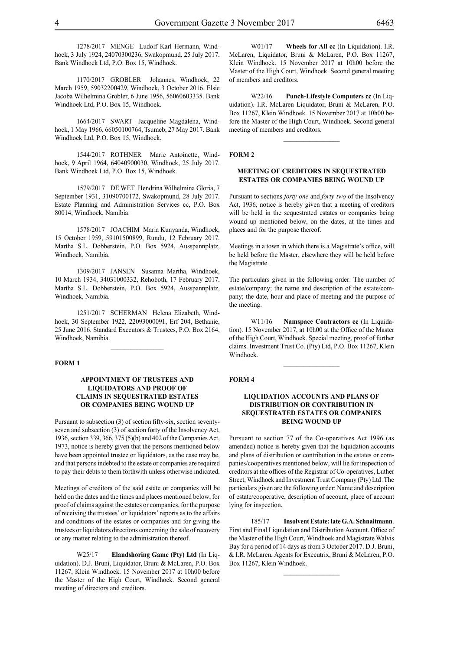1278/2017 MENGE Ludolf Karl Hermann, Windhoek, 3 July 1924, 24070300236, Swakopmund, 25 July 2017. Bank Windhoek Ltd, P.O. Box 15, Windhoek.

1170/2017 GROBLER Johannes, Windhoek, 22 March 1959, 59032200429, Windhoek, 3 October 2016. Elsie Jacoba Wilhelmina Grobler, 6 June 1956, 56060603335. Bank Windhoek Ltd, P.O. Box 15, Windhoek.

1664/2017 SWART Jacqueline Magdalena, Windhoek, 1 May 1966, 66050100764, Tsumeb, 27 May 2017. Bank Windhoek Ltd, P.O. Box 15, Windhoek.

1544/2017 ROTHNER Marie Antoinette, Windhoek, 9 April 1964, 64040900030, Windhoek, 25 July 2017. Bank Windhoek Ltd, P.O. Box 15, Windhoek.

1579/2017 DE WET Hendrina Wilhelmina Gloria, 7 September 1931, 31090700172, Swakopmund, 28 July 2017. Estate Planning and Administration Services cc, P.O. Box 80014, Windhoek, Namibia.

1578/2017 JOACHIM Maria Kunyanda, Windhoek, 15 October 1959, 59101500899, Rundu, 12 February 2017. Martha S.L. Dobberstein, P.O. Box 5924, Ausspannplatz, Windhoek, Namibia.

1309/2017 JANSEN Susanna Martha, Windhoek, 10 March 1934, 34031000332, Rehoboth, 17 February 2017. Martha S.L. Dobberstein, P.O. Box 5924, Ausspannplatz, Windhoek, Namibia.

1251/2017 SCHERMAN Helena Elizabeth, Windhoek, 30 September 1922, 22093000091, Erf 204, Bethanie, 25 June 2016. Standard Executors & Trustees, P.O. Box 2164, Windhoek, Namibia.

#### **FORM 1**

#### **APPOINTMENT OF TRUSTEES AND LIQUIDATORS AND PROOF OF CLAIMS IN SEQUESTRATED ESTATES OR COMPANIES BEING WOUND UP**

Pursuant to subsection (3) of section fifty-six, section seventyseven and subsection (3) of section forty of the Insolvency Act, 1936, section 339, 366, 375 (5)(b) and 402 of the Companies Act, 1973, notice is hereby given that the persons mentioned below have been appointed trustee or liquidators, as the case may be, and that persons indebted to the estate or companies are required to pay their debts to them forthwith unless otherwise indicated.

Meetings of creditors of the said estate or companies will be held on the dates and the times and places mentioned below, for proof of claims against the estates or companies, for the purpose of receiving the trustees' or liquidators' reports as to the affairs and conditions of the estates or companies and for giving the trustees or liquidators directions concerning the sale of recovery or any matter relating to the administration thereof.

W25/17 **Elandshoring Game (Pty) Ltd** (In Liquidation). D.J. Bruni, Liquidator, Bruni & McLaren, P.O. Box 11267, Klein Windhoek. 15 November 2017 at 10h00 before the Master of the High Court, Windhoek. Second general meeting of directors and creditors.

W01/17 **Wheels for All cc** (In Liquidation). I.R. McLaren, Liquidator, Bruni & McLaren, P.O. Box 11267, Klein Windhoek. 15 November 2017 at 10h00 before the Master of the High Court, Windhoek. Second general meeting of members and creditors.

W22/16 **Punch-Lifestyle Computers cc** (In Liquidation). I.R. McLaren Liquidator, Bruni & McLaren, P.O. Box 11267, Klein Windhoek. 15 November 2017 at 10h00 before the Master of the High Court, Windhoek. Second general meeting of members and creditors.

 $\frac{1}{2}$ 

#### **FORM 2**

#### **MEETING OF CREDITORS IN SEQUESTRATED ESTATES OR COMPANIES BEING WOUND UP**

Pursuant to sections *forty-one* and *forty-two* of the Insolvency Act, 1936, notice is hereby given that a meeting of creditors will be held in the sequestrated estates or companies being wound up mentioned below, on the dates, at the times and places and for the purpose thereof.

Meetings in a town in which there is a Magistrate's office, will be held before the Master, elsewhere they will be held before the Magistrate.

The particulars given in the following order: The number of estate/company; the name and description of the estate/company; the date, hour and place of meeting and the purpose of the meeting.

W11/16 **Namspace Contractors cc** (In Liquidation). 15 November 2017, at 10h00 at the Office of the Master of the High Court, Windhoek. Special meeting, proof of further claims. Investment Trust Co. (Pty) Ltd, P.O. Box 11267, Klein Windhoek.

 $\frac{1}{2}$ 

#### **FORM 4**

#### **LIQUIDATION ACCOUNTS AND PLANS OF DISTRIBUTION OR CONTRIBUTION IN SEQUESTRATED ESTATES OR COMPANIES BEING WOUND UP**

Pursuant to section 77 of the Co-operatives Act 1996 (as amended) notice is hereby given that the liquidation accounts and plans of distribution or contribution in the estates or companies/cooperatives mentioned below, will lie for inspection of creditors at the offices of the Registrar of Co-operatives, Luther Street, Windhoek and Investment Trust Company (Pty) Ltd .The particulars given are the following order: Name and description of estate/cooperative, description of account, place of account lying for inspection.

185/17 **Insolvent Estate: late G.A. Schnaitmann**. First and Final Liquidation and Distribution Account. Office of the Master of the High Court, Windhoek and Magistrate Walvis Bay for a period of 14 days as from 3 October 2017. D.J. Bruni, & I.R. McLaren, Agents for Executrix, Bruni & McLaren, P.O. Box 11267, Klein Windhoek.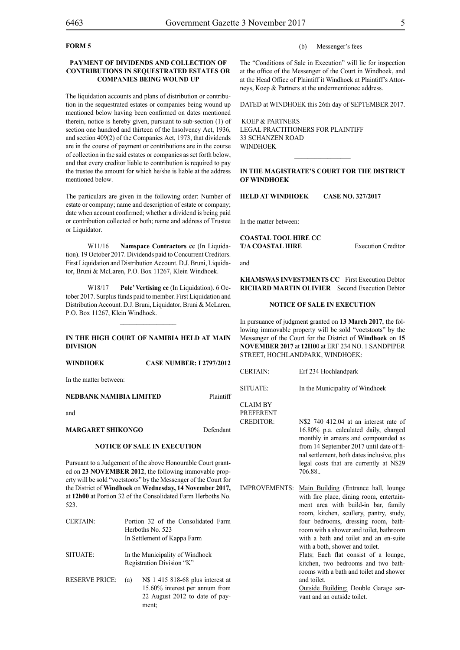#### **FORM 5**

#### **PAYMENT OF DIVIDENDS AND COLLECTION OF CONTRIBUTIONS IN SEQUESTRATED ESTATES OR COMPANIES BEING WOUND UP**

The liquidation accounts and plans of distribution or contribution in the sequestrated estates or companies being wound up mentioned below having been confirmed on dates mentioned therein, notice is hereby given, pursuant to sub-section (1) of section one hundred and thirteen of the Insolvency Act, 1936, and section 409(2) of the Companies Act, 1973, that dividends are in the course of payment or contributions are in the course of collection in the said estates or companies as set forth below, and that every creditor liable to contribution is required to pay the trustee the amount for which he/she is liable at the address mentioned below.

The particulars are given in the following order: Number of estate or company; name and description of estate or company; date when account confirmed; whether a dividend is being paid or contribution collected or both; name and address of Trustee or Liquidator.

W11/16 **Namspace Contractors cc** (In Liquidation). 19 October 2017. Dividends paid to Concurrent Creditors. First Liquidation and Distribution Account. D.J. Bruni, Liquidator, Bruni & McLaren, P.O. Box 11267, Klein Windhoek.

W18/17 **Pole' Vertising cc** (In Liquidation). 6 October 2017. Surplus funds paid to member. First Liquidation and Distribution Account. D.J. Bruni, Liquidator, Bruni & McLaren, P.O. Box 11267, Klein Windhoek.

#### **IN THE HIGH COURT OF NAMIBIA HELD AT MAIN DIVISION**

 $\frac{1}{2}$ 

| WINDHOEK                | <b>CASE NUMBER: I 2797/2012</b> |
|-------------------------|---------------------------------|
| In the matter between:  |                                 |
| NEDBANK NAMIBIA LIMITED | Plaintiff                       |

and

#### **MARGARET SHIKONGO** Defendant

#### **NOTICE OF SALE IN EXECUTION**

Pursuant to a Judgement of the above Honourable Court granted on **23 NOVEMBER 2012**, the following immovable property will be sold "voetstoots" by the Messenger of the Court for the District of **Windhoek** on **Wednesday, 14 November 2017,** at **12h00** at Portion 32 of the Consolidated Farm Herboths No. 523.

| <b>CERTAIN:</b>       |     | Portion 32 of the Consolidated Farm<br>Herboths No. 523<br>In Settlement of Kappa Farm                |
|-----------------------|-----|-------------------------------------------------------------------------------------------------------|
| SITUATE:              |     | In the Municipality of Windhoek<br>Registration Division "K"                                          |
| <b>RESERVE PRICE:</b> | (a) | N\$ 1 415 818-68 plus interest at<br>15.60% interest per annum from<br>22 August 2012 to date of pay- |

ment;

#### (b) Messenger's fees

The "Conditions of Sale in Execution" will lie for inspection at the office of the Messenger of the Court in Windhoek, and at the Head Office of Plaintiff it Windhoek at Plaintiff's Attorneys, Koep & Partners at the undermentionec address.

DATED at WINDHOEK this 26th day of SEPTEMBER 2017.

 KOEP & PARTNERS LEGAL PRACTITIONERS FOR Plaintiff 33 SCHANZEN ROAD WINDHOEK

#### **In the MAGISTRATE'S COURT for the DISTRICT of WINDHOEK**

 $\overline{\phantom{a}}$  ,  $\overline{\phantom{a}}$  ,  $\overline{\phantom{a}}$  ,  $\overline{\phantom{a}}$  ,  $\overline{\phantom{a}}$  ,  $\overline{\phantom{a}}$  ,  $\overline{\phantom{a}}$  ,  $\overline{\phantom{a}}$  ,  $\overline{\phantom{a}}$  ,  $\overline{\phantom{a}}$  ,  $\overline{\phantom{a}}$  ,  $\overline{\phantom{a}}$  ,  $\overline{\phantom{a}}$  ,  $\overline{\phantom{a}}$  ,  $\overline{\phantom{a}}$  ,  $\overline{\phantom{a}}$ 

**HELD at WINDHOEK Case No. 327/2017**

In the matter between:

**COASTAL TOOL HIRE CC T/A COASTAL HIRE** Execution Creditor

and

**KHAMSWAS INVESTMENTS CC** First Execution Debtor **RICHARD MARTIN OLIVIER** Second Execution Debtor

#### **NOTICE OF SALE IN EXECUTION**

In pursuance of judgment granted on **13 March 2017**, the following immovable property will be sold "voetstoots" by the Messenger of the Court for the District of **Windhoek** on **15 NOVEMBER 2017** at **12H0**0 at ERF 234 NO. 1 SANDPIPER STREET, HOCHLANDPARK, WINDHOEK:

| UERTAIN.                                         | ен 254 постанаратк                                                                                                                                                                                                                                                      |
|--------------------------------------------------|-------------------------------------------------------------------------------------------------------------------------------------------------------------------------------------------------------------------------------------------------------------------------|
| SITUATE:                                         | In the Municipality of Windhoek                                                                                                                                                                                                                                         |
| CLAIM BY<br><b>PREFERENT</b><br><b>CREDITOR:</b> | N\$2 740 412.04 at an interest rate of<br>16.80% p.a. calculated daily, charged<br>monthly in arrears and compounded as<br>from 14 September 2017 until date of fi-<br>nal settlement, both dates inclusive, plus<br>legal costs that are currently at N\$29<br>706.88. |

 $C$ ERTAIN:  $C_1$   $C_2$  234 H $C_3$  11,  $C_4$  1

IMPROVEMENTS: Main Building (Entrance hall, lounge with fire place, dining room, entertainment area with build-in bar, family room, kitchen, scullery, pantry, study, four bedrooms, dressing room, bathroom with a shower and toilet, bathroom with a bath and toilet and an en-suite with a both, shower and toilet.

Flats: Each flat consist of a lounge, kitchen, two bedrooms and two bathrooms with a bath and toilet and shower and toilet.

Outside Building: Double Garage servant and an outside toilet.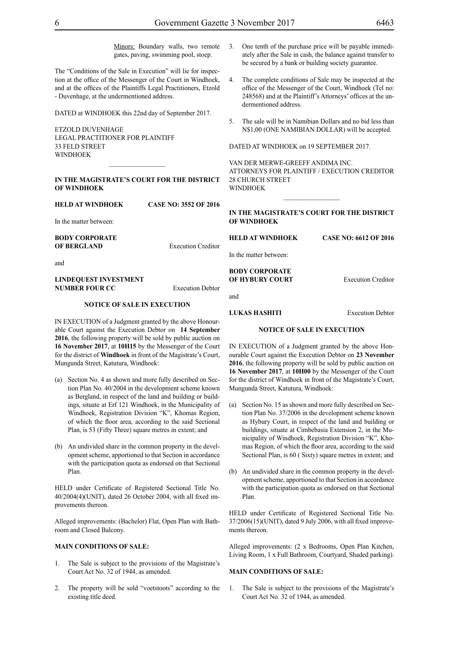Minors: Boundary walls, two remote gates, paving, swimming pool, stoep.

The "Conditions of the Sale in Execution" will lie for inspection at the office of the Messenger of the Court in Windhoek, and at the offices of the Plaintiffs Legal Practitioners, Etzold - Duvenhage, at the undermentioned address.

DATED at WINDHOEK this 22nd day of September 2017.

ETZOLD DUVENHAGE LEGAL PRACTITIONER FOR Plaintiff 33 FELD STREET WINDHOEK

#### **IN THE MAGISTRATE'S COURT FOR THE DISTRICT OF WINDHOEK**

**HELD AT WINDHOEK CASE NO: 3552 OF 2016**

In the matter between:

**BODY CORPORATE OF BERGLAND** Execution Creditor

and

#### **LINDEQUEST INVESTMENT NUMBER FOUR CC** Execution Debtor

#### **NOTICE OF SALE IN EXECUTION**

IN EXECUTION of a Judgment granted by the above Honourable Court against the Execution Debtor on **14 September 2016**, the following property will be sold by public auction on **16 November 2017**, at **10H15** by the Messenger of the Court for the district of **Windhoek** in front of the Magistrate's Court, Mungunda Street, Katutura, Windhoek:

- (a) Section No. 4 as shown and more fully described on Section Plan No. 40/2004 in the development scheme known as Bergland, in respect of the land and building or buildings, situate at Erf 121 Windhoek, in the Municipality of Windhoek, Registration Division "K", Khomas Region, of which the floor area, according to the said Sectional Plan, is 53 (Fifty Three) square metres in extent; and
- (b) An undivided share in the common property in the development scheme, apportioned to that Section in accordance with the participation quota as endorsed on that Sectional Plan.

HELD under Certificate of Registered Sectional Title No. 40/2004(4)(UNIT), dated 26 October 2004, with all fixed improvements thereon.

Alleged improvements: (Bachelor) Flat, Open Plan with Bathroom and Closed Balcony.

#### **MAIN CONDITIONS OF SALE:**

- 1. The Sale is subject to the provisions of the Magistrate's Court Act No. 32 of 1944, as amended.
- 2. The property will be sold "voetstoots" according to the existing title deed.
- 3. One tenth of the purchase price will be payable immediately after the Sale in cash, the balance against transfer to be secured by a bank or building society guarantee.
- 4. The complete conditions of Sale may be inspected at the office of the Messenger of the Court, Windhoek (Tel no: 248568) and at the Plaintiff's Attorneys' offices at the undermentioned address.
- 5. The sale will be in Namibian Dollars and no bid less than N\$1,00 (ONE NAMIBIAN DOLLAR) will be accepted.

DATED AT WINDHOEK on 19 SEPTEMBER 2017.

VAN DER MERWE-GREEFF ANDIMA INC. ATTORNEYS FOR Plaintiff / Execution Creditor 28 CHURCH STREET WINDHOEK

**IN THE MAGISTRATE'S COURT FOR THE DISTRICT OF WINDHOEK**

 $\frac{1}{2}$ 

**HELD AT WINDHOEK CASE NO: 6612 OF 2016**

In the matter between:

**BODY CORPORATE OF HYBURY COURT** Execution Creditor

#### **LUKAS HASHITI** Execution Debtor

#### **NOTICE OF SALE IN EXECUTION**

IN EXECUTION of a Judgment granted by the above Honourable Court against the Execution Debtor on **23 November 2016**, the following property will be sold by public auction on **16 November 2017**, at **10H00** by the Messenger of the Court for the district of Windhoek in front of the Magistrate's Court, Mungunda Street, Katutura, Windhoek:

- (a) Section No. 15 as shown and more fully described on Section Plan No. 37/2006 in the development scheme known as Hybury Court, in respect of the land and building or buildings, situate at Cimbebasia Extension 2, in the Municipality of Windhoek, Registration Division "K", Khomas Region, of which the floor area, according to the said Sectional Plan, is 60 ( Sixty) square metres in extent; and
- (b) An undivided share in the common property in the development scheme, apportioned to that Section in accordance with the participation quota as endorsed on that Sectional Plan.

HELD under Certificate of Registered Sectional Title No. 37/2006(15)(UNIT), dated 9 July 2006, with all fixed improvements thereon.

Alleged improvements: (2 x Bedrooms, Open Plan Kitchen, Living Room, 1 x Full Bathroom, Courtyard, Shaded parking).

#### **MAIN CONDITIONS OF SALE:**

1. The Sale is subject to the provisions of the Magistrate's Court Act No. 32 of 1944, as amended.

and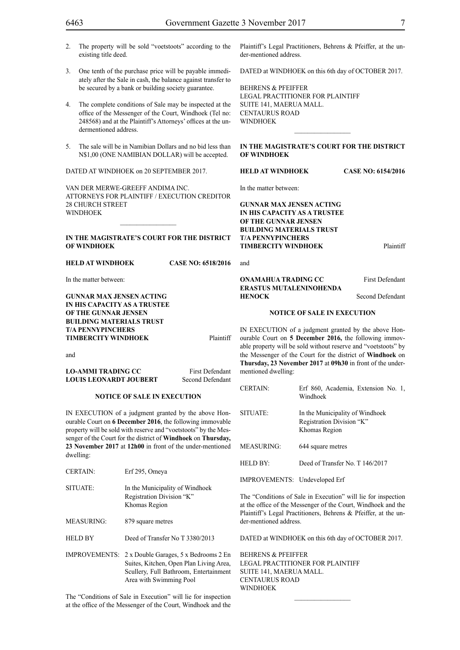- 2. The property will be sold "voetstoots" according to the existing title deed.
- 3. One tenth of the purchase price will be payable immediately after the Sale in cash, the balance against transfer to be secured by a bank or building society guarantee.
- 4. The complete conditions of Sale may be inspected at the office of the Messenger of the Court, Windhoek (Tel no: 248568) and at the Plaintiff's Attorneys' offices at the undermentioned address.
- 5. The sale will be in Namibian Dollars and no bid less than N\$1,00 (ONE NAMIBIAN DOLLAR) will be accepted.

DATED AT WINDHOEK on 20 SEPTEMBER 2017.

VAN DER MERWE-GREEFF ANDIMA INC. ATTORNEYS FOR Plaintiff / Execution Creditor 28 CHURCH STREET WINDHOEK

#### **IN THE MAGISTRATE'S COURT FOR THE DISTRICT OF WINDHOEK**

 $\frac{1}{2}$ 

#### **HELD AT WINDHOEK CASE NO: 6518/2016**

In the matter between:

**GUNNAR MAX JENSEN ACTING IN HIS CAPACITY AS A TRUSTEE OF THE GUNNAR JENSEN BUILDING MATERIALS TRUST T/A PENNYPINCHERS TIMBERCITY WINDHOEK** Plaintiff

and

**LO-AMMI TRADING CC** First Defendant **LOUIS LEONARDT JOUBERT** Second Defendant

#### **NOTICE OF SALE IN EXECUTION**

IN EXECUTION of a judgment granted by the above Honourable Court on **6 December 2016**, the following immovable property will be sold with reserve and "voetstoots" by the Messenger of the Court for the district of **Windhoek** on **Thursday, 23 November 2017** at **12h00** in front of the under-mentioned dwelling:

| <b>CERTAIN:</b>      | Erf 295, Omeya                                                                                                                                        |
|----------------------|-------------------------------------------------------------------------------------------------------------------------------------------------------|
| SITUATE:             | In the Municipality of Windhoek<br>Registration Division "K"<br>Khomas Region                                                                         |
| <b>MEASURING:</b>    | 879 square metres                                                                                                                                     |
| <b>HELD BY</b>       | Deed of Transfer No T 3380/2013                                                                                                                       |
| <b>IMPROVEMENTS:</b> | 2 x Double Garages, 5 x Bedrooms 2 En<br>Suites, Kitchen, Open Plan Living Area,<br>Scullery, Full Bathroom, Entertainment<br>Area with Swimming Pool |

The "Conditions of Sale in Execution" will lie for inspection at the office of the Messenger of the Court, Windhoek and the

Plaintiff's Legal Practitioners, Behrens & Pfeiffer, at the under-mentioned address.

DATED at WINDHOEK on this 6th day of OCTOBER 2017.

BEHRENS & PFEIFFER LEGAL PRACTITIONER FOR Plaintiff SUITE 141, MAERUA MALL. CENTAURUS ROAD WINDHOEK

#### **IN THE MAGISTRATE'S COURT FOR THE DISTRICT OF WINDHOEK**

 $\frac{1}{2}$ 

**HELD AT WINDHOEK CASE NO: 6154/2016**

In the matter between:

**GUNNAR MAX JENSEN ACTING IN HIS CAPACITY AS A TRUSTEE OF THE GUNNAR JENSEN BUILDING MATERIALS TRUST T/A PENNYPINCHERS TIMBERCITY WINDHOEK** Plaintiff

and

**ONAMAHUA TRADING CC** First Defendant **ERASTUS MUTALENINOHENDA HENOCK** Second Defendant

#### **NOTICE OF SALE IN EXECUTION**

IN EXECUTION of a judgment granted by the above Honourable Court on **5 December 2016,** the following immovable property will be sold without reserve and "voetstoots" by the Messenger of the Court for the district of **Windhoek** on **Thursday, 23 November 2017** at **09h30** in front of the undermentioned dwelling:

CERTAIN: Erf 860, Academia, Extension No. 1,

| ULIMIAIIV.                    | ETT 600, ACQUEIIIIA, EXICIISIUII INO. 1,<br>Windhoek                          |
|-------------------------------|-------------------------------------------------------------------------------|
| <b>SITUATE:</b>               | In the Municipality of Windhoek<br>Registration Division "K"<br>Khomas Region |
| MEASURING:                    | 644 square metres                                                             |
| HELD BY:                      | Deed of Transfer No. T 146/2017                                               |
| IMPROVEMENTS: Undeveloped Erf |                                                                               |
|                               |                                                                               |

The "Conditions of Sale in Execution" will lie for inspection at the office of the Messenger of the Court, Windhoek and the Plaintiff's Legal Practitioners, Behrens & Pfeiffer, at the under-mentioned address.

DATED at WINDHOEK on this 6th day of OCTOBER 2017.

BEHRENS & PFEIFFER LEGAL PRACTITIONER FOR Plaintiff SUITE 141, MAERUA MALL. CENTAURUS ROAD **WINDHOEK**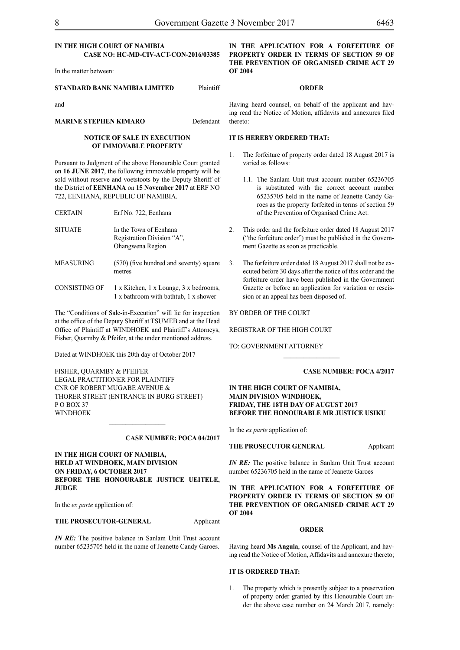#### **IN THE HIGH COURT OF NAMIBIA CASE NO: HC-MD-CIV-ACT-CON-2016/03385**

In the matter between:

#### **STANDARD BANK NAMIBIA LIMITED** Plaintiff

and

**MARINE STEPHEN KIMARO** Defendant

#### **NOTICE OF SALE IN EXECUTION OF IMMOVABLE PROPERTY**

Pursuant to Judgment of the above Honourable Court granted on **16 JUNE 2017**, the following immovable property will be sold without reserve and voetstoots by the Deputy Sheriff of the District of **EENHANA** on **15 November 2017** at ERF NO 722, EENHANA, REPUBLIC OF NAMIBIA.

| <b>CERTAIN</b>   | Erf No. 722, Eenhana                                                            |
|------------------|---------------------------------------------------------------------------------|
| <b>SITUATE</b>   | In the Town of Eenhana<br>Registration Division "A",<br>Ohangwena Region        |
| <b>MEASURING</b> | (570) (five hundred and seventy) square<br>metres                               |
| CONSISTING OF    | 1 x Kitchen, 1 x Lounge, 3 x bedrooms,<br>1 x bathroom with bathtub, 1 x shower |

The "Conditions of Sale-in-Execution" will lie for inspection at the office of the Deputy Sheriff at TSUMEB and at the Head Office of Plaintiff at WINDHOEK and Plaintiff's Attorneys, Fisher, Quarmby & Pfeifer, at the under mentioned address.

Dated at WINDHOEK this 20th day of October 2017

FISHER, QUARMBY & PFEIFER LEGAL PRACTITIONER FOR Plaintiff Cnr of Robert Mugabe Avenue & Thorer Street (entrance in Burg Street) P O Box 37 WINDHOEK

#### **Case number: POCA 04/2017**

**IN THE HIGH COURT OF NAMIBIA, HELD AT WINDHOEK, MAIN DIVISION ON FRIDAY, 6 OCTOBER 2017 BEFORE THE HONOURABLE JUSTICE UEITELE, JUDGE**

 $\frac{1}{2}$ 

In the *ex parte* application of:

#### **THE PROSECUTOR-GENERAL** Applicant

*IN RE:* The positive balance in Sanlam Unit Trust account number 65235705 held in the name of Jeanette Candy Garoes.

**IN THE APPLICATION FOR A FORFEITURE OF PROPERTY ORDER IN TERMS OF SECTION 59 OF THE PREVENTION OF ORGANISED CRIME ACT 29 OF 2004**

#### **ORDER**

Having heard counsel, on behalf of the applicant and having read the Notice of Motion, affidavits and annexures filed thereto:

#### **IT IS HEREBY ORDERED THAT:**

- 1. The forfeiture of property order dated 18 August 2017 is varied as follows:
	- 1.1. The Sanlam Unit trust account number 65236705 is substituted with the correct account number 65235705 held in the name of Jeanette Candy Garoes as the property forfeited in terms of section 59 of the Prevention of Organised Crime Act.
- 2. This order and the forfeiture order dated 18 August 2017 ("the forfeiture order") must be published in the Government Gazette as soon as practicable.
- 3. The forfeiture order dated 18 August 2017 shall not be executed before 30 days after the notice of this order and the forfeiture order have been published in the Government Gazette or before an application for variation or rescission or an appeal has been disposed of.

BY ORDER OF THE COURT

REGISTRAR OF THE HIGH COURT

TO: Government Attorney

#### **Case number: POCA 4/2017**

#### **IN THE HIGH COURT OF NAMIBIA, MAIN DIVISION WINDHOEK, FRIDAY, THE 18TH DAY OF AUGUST 2017 BEFORE THE HONOURABLE MR JUSTICE USIKU**

 $\frac{1}{2}$ 

In the *ex parte* application of:

#### **THE PROSECUTOR GENERAL Applicant**

*IN RE*: The positive balance in Sanlam Unit Trust account number 65236705 held in the name of Jeanette Garoes

**IN THE APPLICATION FOR A FORFEITURE OF PROPERTY ORDER IN TERMS OF SECTION 59 OF THE PREVENTION OF ORGANISED CRIME ACT 29 OF 2004**

#### **ORDER**

Having heard **Ms Angula**, counsel of the Applicant, and having read the Notice of Motion, Affidavits and annexure thereto;

#### **IT IS ORDERED THAT:**

1. The property which is presently subject to a preservation of property order granted by this Honourable Court under the above case number on 24 March 2017, namely: